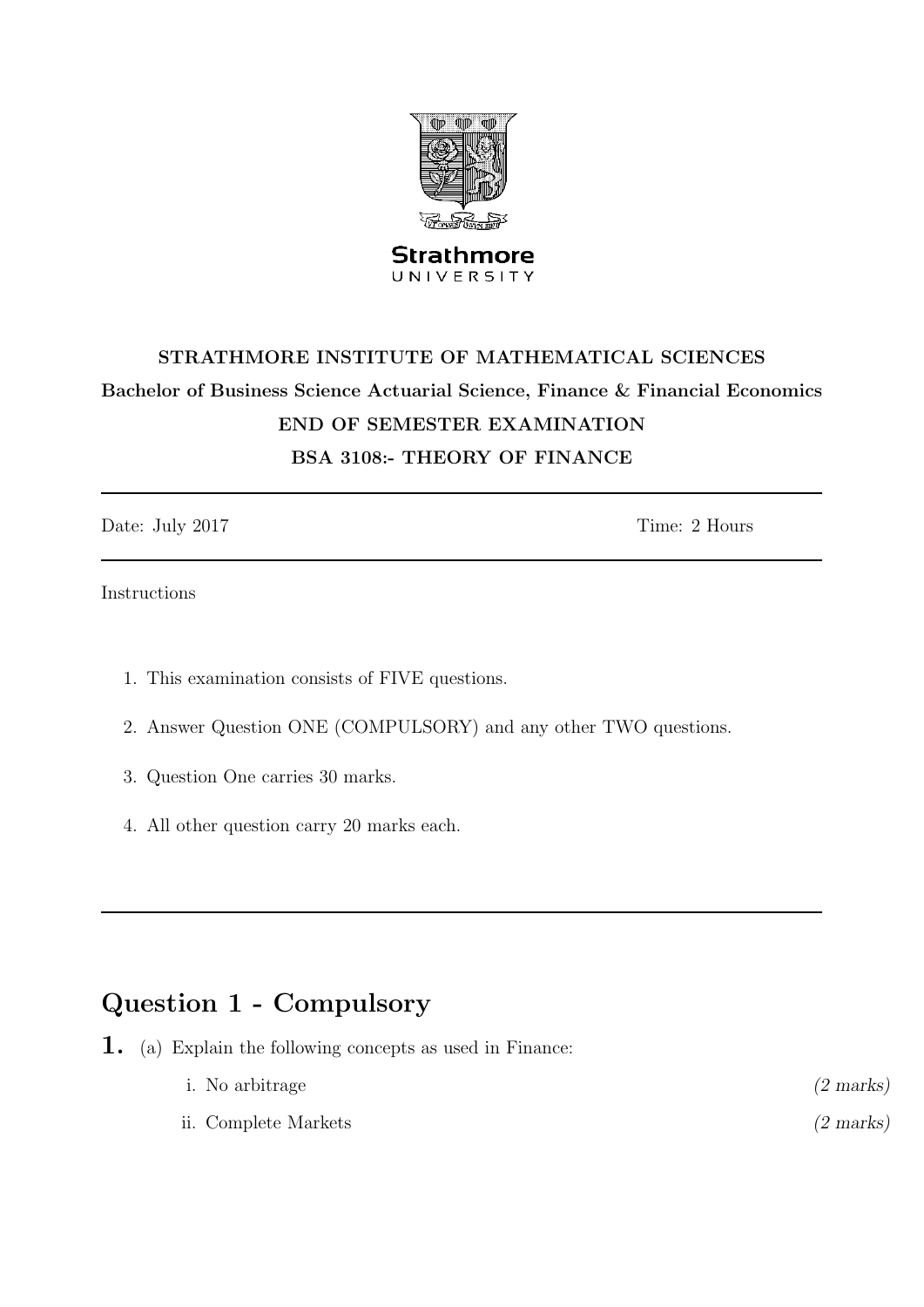

# STRATHMORE INSTITUTE OF MATHEMATICAL SCIENCES Bachelor of Business Science Actuarial Science, Finance & Financial Economics END OF SEMESTER EXAMINATION BSA 3108:- THEORY OF FINANCE

Date: July 2017 Time: 2 Hours

Instructions

- 1. This examination consists of FIVE questions.
- 2. Answer Question ONE (COMPULSORY) and any other TWO questions.
- 3. Question One carries 30 marks.
- 4. All other question carry 20 marks each.

## Question 1 - Compulsory

1. (a) Explain the following concepts as used in Finance:

| <i>i</i> . No arbitrage | $(2 \text{ marks})$ |
|-------------------------|---------------------|
| ii. Complete Markets    | $(2 \text{ marks})$ |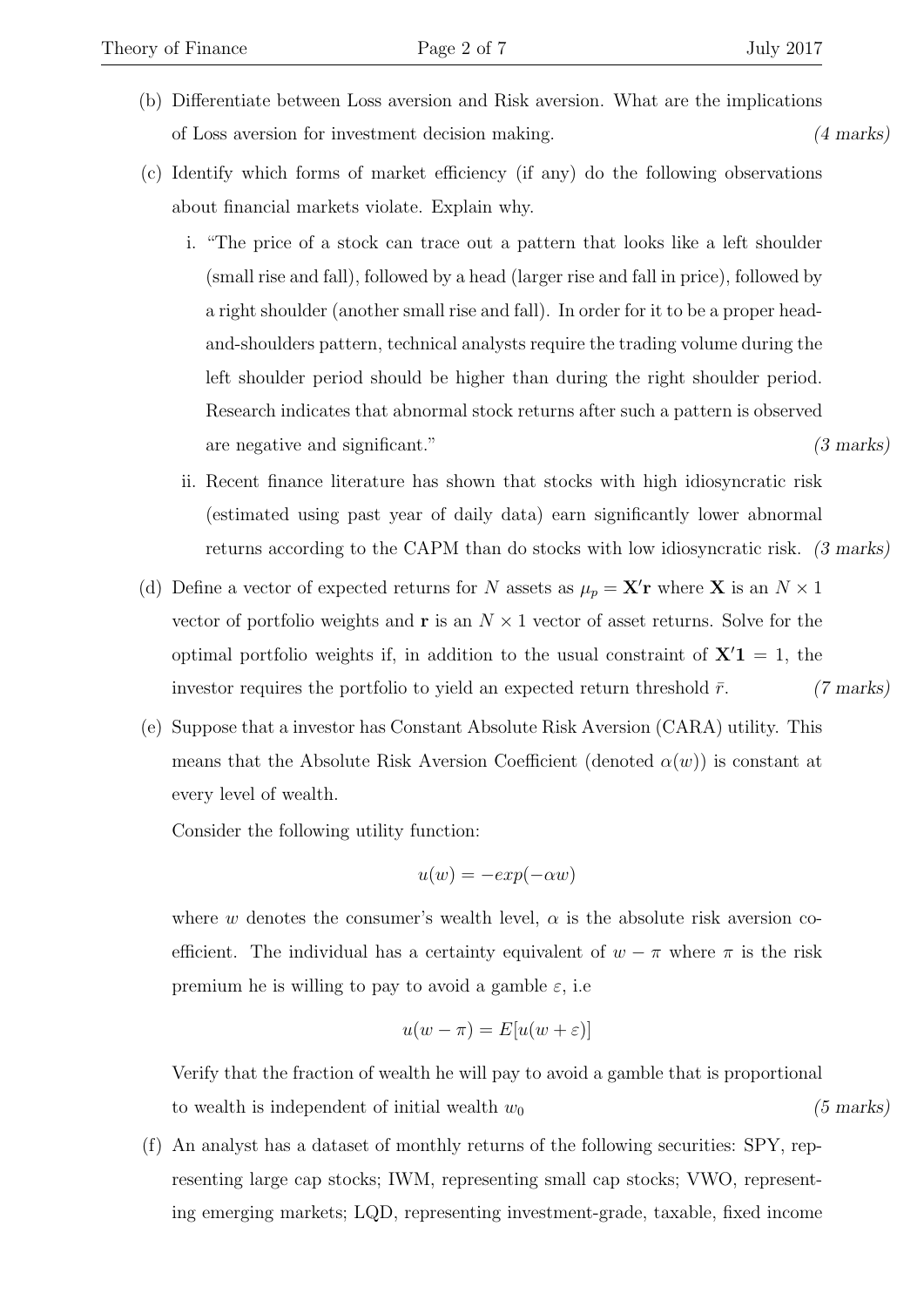- (b) Differentiate between Loss aversion and Risk aversion. What are the implications of Loss aversion for investment decision making. (4 marks)
- (c) Identify which forms of market efficiency (if any) do the following observations about financial markets violate. Explain why.
	- i. "The price of a stock can trace out a pattern that looks like a left shoulder (small rise and fall), followed by a head (larger rise and fall in price), followed by a right shoulder (another small rise and fall). In order for it to be a proper headand-shoulders pattern, technical analysts require the trading volume during the left shoulder period should be higher than during the right shoulder period. Research indicates that abnormal stock returns after such a pattern is observed are negative and significant." (3 marks)
	- ii. Recent finance literature has shown that stocks with high idiosyncratic risk (estimated using past year of daily data) earn significantly lower abnormal returns according to the CAPM than do stocks with low idiosyncratic risk. (3 marks)
- (d) Define a vector of expected returns for N assets as  $\mu_p = \mathbf{X}'\mathbf{r}$  where **X** is an  $N \times 1$ vector of portfolio weights and **r** is an  $N \times 1$  vector of asset returns. Solve for the optimal portfolio weights if, in addition to the usual constraint of  $X<sup>'</sup>1 = 1$ , the investor requires the portfolio to yield an expected return threshold  $\bar{r}$ . (7 marks)
- (e) Suppose that a investor has Constant Absolute Risk Aversion (CARA) utility. This means that the Absolute Risk Aversion Coefficient (denoted  $\alpha(w)$ ) is constant at every level of wealth.

Consider the following utility function:

$$
u(w) = -exp(-\alpha w)
$$

where w denotes the consumer's wealth level,  $\alpha$  is the absolute risk aversion coefficient. The individual has a certainty equivalent of  $w - \pi$  where  $\pi$  is the risk premium he is willing to pay to avoid a gamble  $\varepsilon$ , i.e.

$$
u(w - \pi) = E[u(w + \varepsilon)]
$$

Verify that the fraction of wealth he will pay to avoid a gamble that is proportional to wealth is independent of initial wealth  $w_0$  (5 marks)

(f) An analyst has a dataset of monthly returns of the following securities: SPY, representing large cap stocks; IWM, representing small cap stocks; VWO, representing emerging markets; LQD, representing investment-grade, taxable, fixed income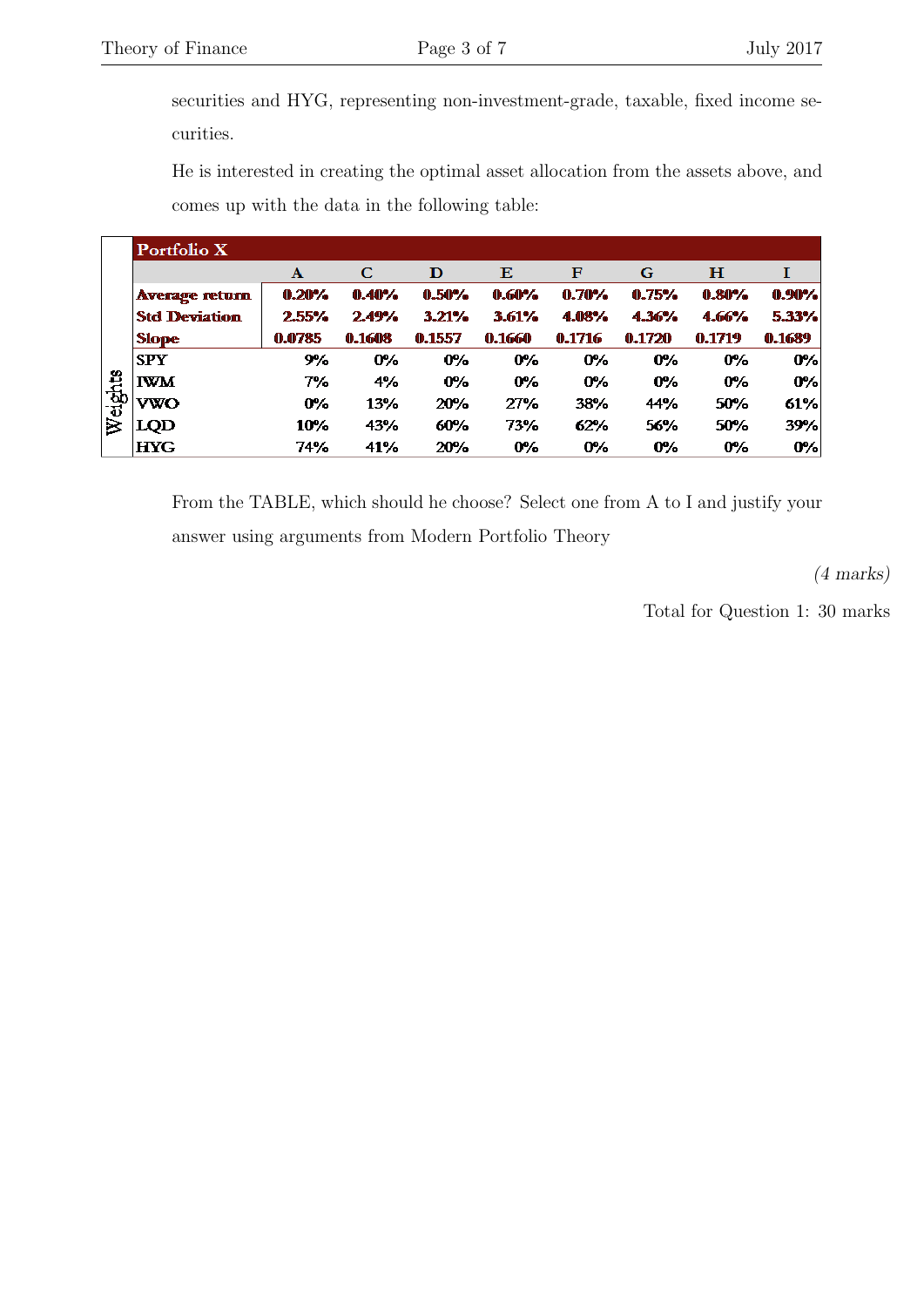securities and HYG, representing non-investment-grade, taxable, fixed income securities.

He is interested in creating the optimal asset allocation from the assets above, and comes up with the data in the following table:

|        | Portfolio X           |        |        |        |        |        |        |        |          |
|--------|-----------------------|--------|--------|--------|--------|--------|--------|--------|----------|
|        |                       | A      | C      | D      | Е      | F      | G      | н      |          |
|        | <b>Average return</b> | 0.20%  | 0.40%  | 0.50%  | 0.60%  | 0.70%  | 0.75%  | 0.80%  | $0.90\%$ |
|        | <b>Std Deviation</b>  | 2.55%  | 2.49%  | 3.21%  | 3.61%  | 4.08%  | 4.36%  | 4.66%  | 5.33%    |
|        | <b>Slope</b>          | 0.0785 | 0.1608 | 0.1557 | 0.1660 | 0.1716 | 0.1720 | 0.1719 | 0.1689   |
|        | <b>SPY</b>            | 9%     | 0%     | $0\%$  | $0\%$  | 0%     | 0%     | $0\%$  | 0%       |
|        | <b>IWM</b>            | 7%     | 4%     | 0%     | $0\%$  | $0\%$  | 0%     | $0\%$  | 0%       |
| eights | VWO                   | $0\%$  | 13%    | 20%    | 27%    | 38%    | 44%    | 50%    | 61%      |
| ≥      | LQD                   | 10%    | 43%    | 60%    | 73%    | 62%    | 56%    | 50%    | 39%      |
|        | <b>HYG</b>            | 74%    | 41%    | 20%    | $0\%$  | 0%     | $0\%$  | $0\%$  | 0%       |

From the TABLE, which should he choose? Select one from A to I and justify your answer using arguments from Modern Portfolio Theory

(4 marks)

Total for Question 1: 30 marks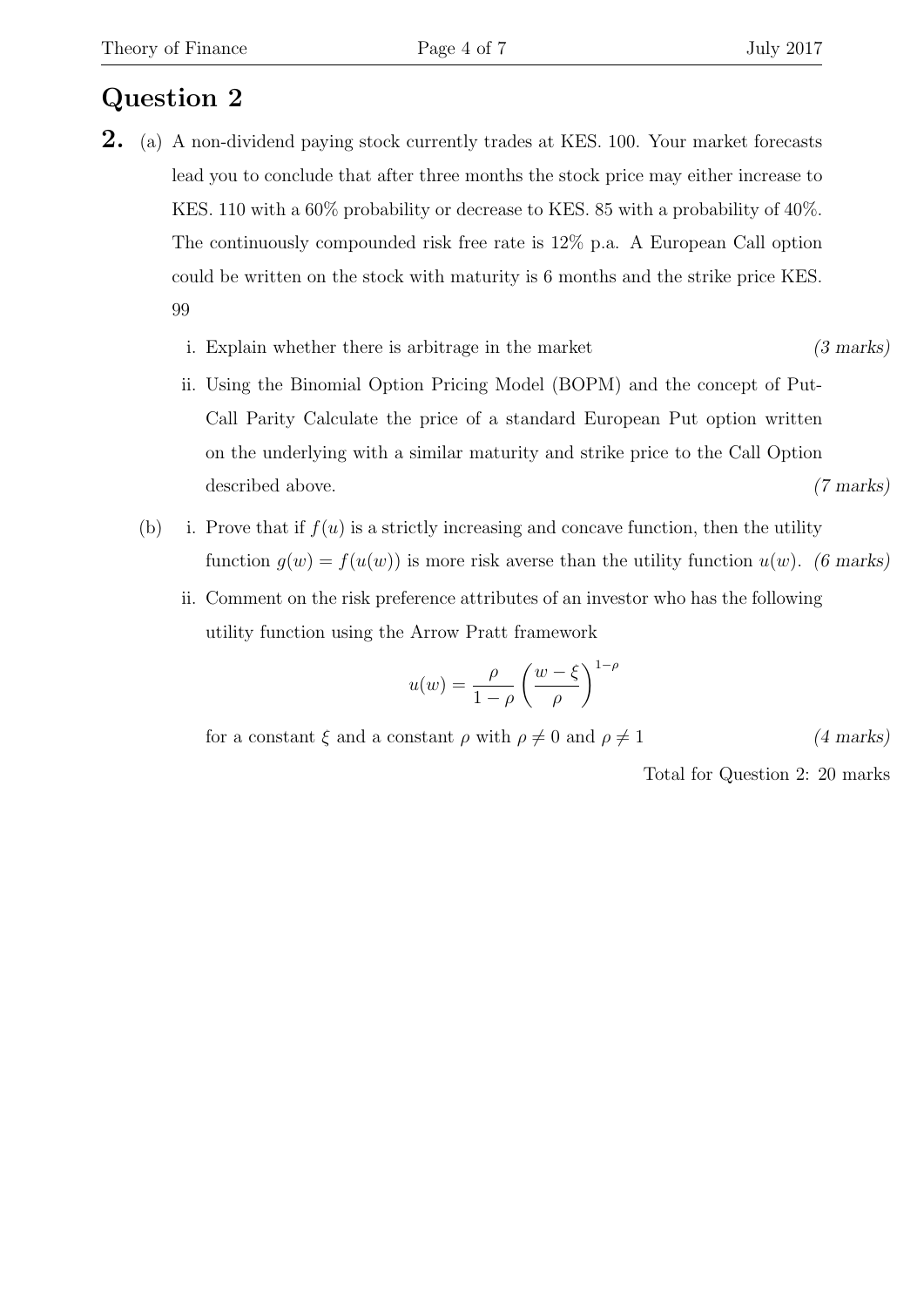- 2. (a) A non-dividend paying stock currently trades at KES. 100. Your market forecasts lead you to conclude that after three months the stock price may either increase to KES. 110 with a 60% probability or decrease to KES. 85 with a probability of 40%. The continuously compounded risk free rate is 12% p.a. A European Call option could be written on the stock with maturity is 6 months and the strike price KES. 99
	- i. Explain whether there is arbitrage in the market (3 marks)
	- ii. Using the Binomial Option Pricing Model (BOPM) and the concept of Put-Call Parity Calculate the price of a standard European Put option written on the underlying with a similar maturity and strike price to the Call Option described above. (7 marks)
	- (b) i. Prove that if  $f(u)$  is a strictly increasing and concave function, then the utility function  $g(w) = f(u(w))$  is more risk averse than the utility function  $u(w)$ . (6 marks)
		- ii. Comment on the risk preference attributes of an investor who has the following utility function using the Arrow Pratt framework

$$
u(w) = \frac{\rho}{1-\rho} \left(\frac{w-\xi}{\rho}\right)^{1-\rho}
$$

for a constant  $\xi$  and a constant  $\rho$  with  $\rho \neq 0$  and  $\rho \neq 1$  (4 marks)

Total for Question 2: 20 marks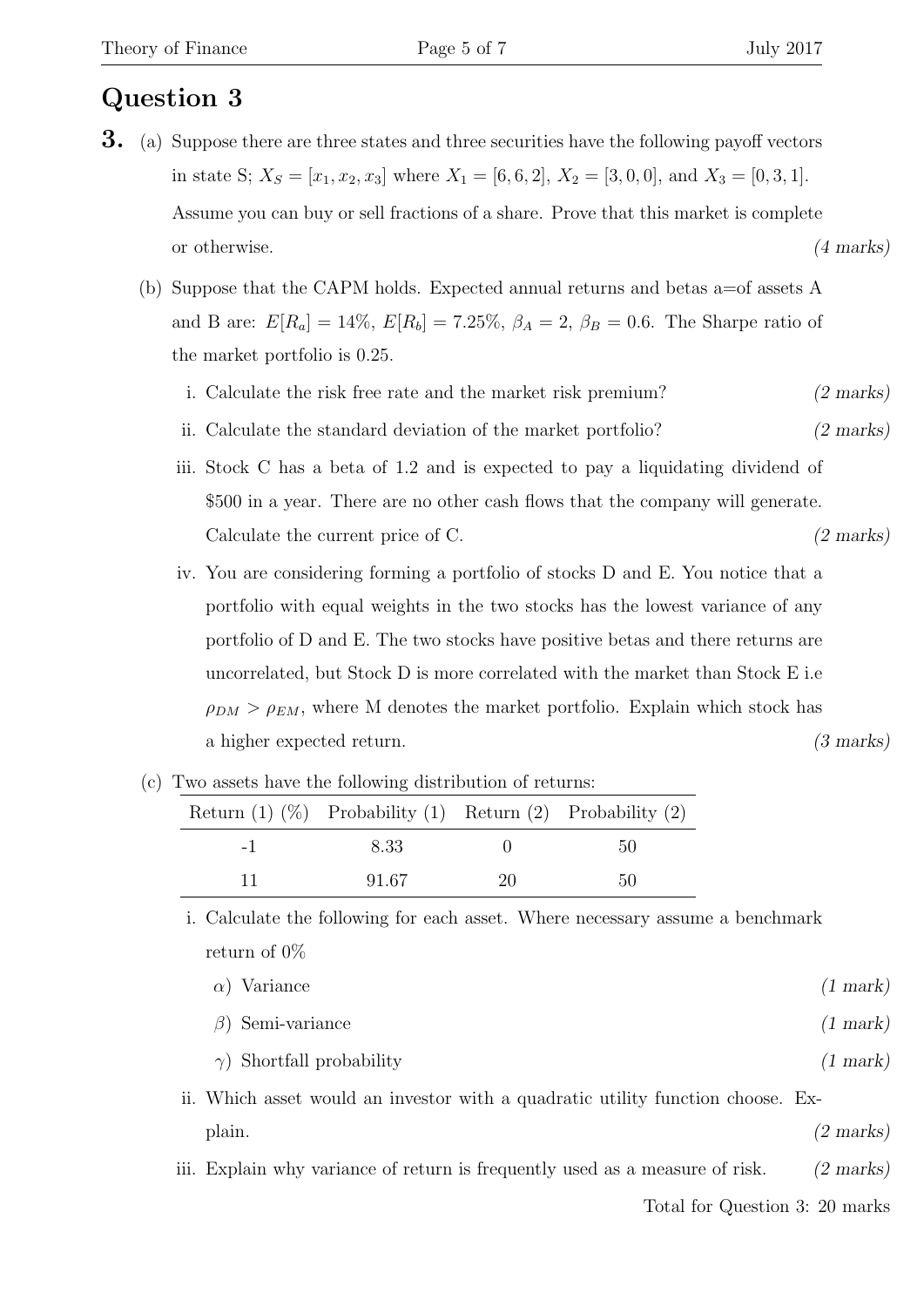- 3. (a) Suppose there are three states and three securities have the following payoff vectors in state S;  $X_S = [x_1, x_2, x_3]$  where  $X_1 = [6, 6, 2]$ ,  $X_2 = [3, 0, 0]$ , and  $X_3 = [0, 3, 1]$ . Assume you can buy or sell fractions of a share. Prove that this market is complete or otherwise. (4 marks)
	- (b) Suppose that the CAPM holds. Expected annual returns and betas a=of assets A and B are:  $E[R_a] = 14\%, E[R_b] = 7.25\%, \beta_A = 2, \beta_B = 0.6$ . The Sharpe ratio of the market portfolio is 0.25.
		- i. Calculate the risk free rate and the market risk premium? (2 marks)
		- ii. Calculate the standard deviation of the market portfolio? (2 marks)
		- iii. Stock C has a beta of 1.2 and is expected to pay a liquidating dividend of \$500 in a year. There are no other cash flows that the company will generate. Calculate the current price of C. (2 marks)
		- iv. You are considering forming a portfolio of stocks D and E. You notice that a portfolio with equal weights in the two stocks has the lowest variance of any portfolio of D and E. The two stocks have positive betas and there returns are uncorrelated, but Stock D is more correlated with the market than Stock E i.e  $\rho_{DM} > \rho_{EM}$ , where M denotes the market portfolio. Explain which stock has a higher expected return. (3 marks)

| Return $(1)$ $(\%)$ Probability $(1)$ Return $(2)$ Probability $(2)$ |    |    |
|----------------------------------------------------------------------|----|----|
| 8.33                                                                 |    | 50 |
| 91.67                                                                | 20 | 50 |

(c) Two assets have the following distribution of returns:

i. Calculate the following for each asset. Where necessary assume a benchmark return of 0%

| $\alpha$ ) Variance     | $(1 \text{ mark})$ |
|-------------------------|--------------------|
| $\beta$ ) Semi-variance | $(1 \text{ mark})$ |

- $\gamma$ ) Shortfall probability (1 mark)
- ii. Which asset would an investor with a quadratic utility function choose. Ex- $\alpha$  plain.  $(2 \text{ marks})$
- iii. Explain why variance of return is frequently used as a measure of risk. (2 marks)

Total for Question 3: 20 marks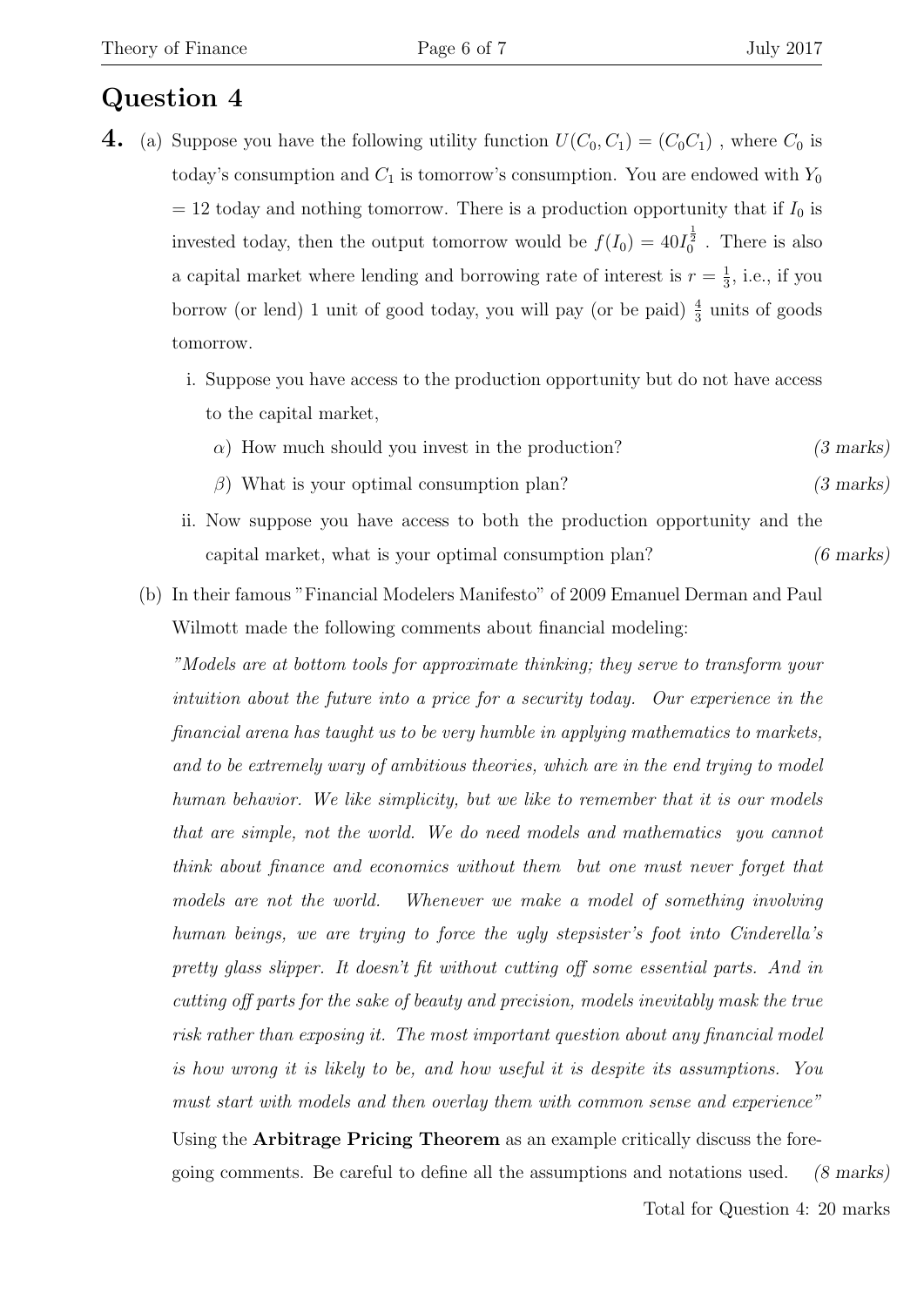- 4. (a) Suppose you have the following utility function  $U(C_0, C_1) = (C_0 C_1)$ , where  $C_0$  is today's consumption and  $C_1$  is tomorrow's consumption. You are endowed with  $Y_0$  $= 12$  today and nothing tomorrow. There is a production opportunity that if  $I_0$  is invested today, then the output tomorrow would be  $f(I_0) = 40I_0^{\frac{1}{2}}$ . There is also a capital market where lending and borrowing rate of interest is  $r = \frac{1}{3}$  $\frac{1}{3}$ , i.e., if you borrow (or lend) 1 unit of good today, you will pay (or be paid)  $\frac{4}{3}$  units of goods tomorrow.
	- i. Suppose you have access to the production opportunity but do not have access to the capital market,
		- $\alpha$ ) How much should you invest in the production? (3 marks)
		- $\beta$ ) What is your optimal consumption plan? (3 marks)
	- ii. Now suppose you have access to both the production opportunity and the capital market, what is your optimal consumption plan? (6 marks)
	- (b) In their famous "Financial Modelers Manifesto" of 2009 Emanuel Derman and Paul Wilmott made the following comments about financial modeling:

"Models are at bottom tools for approximate thinking; they serve to transform your intuition about the future into a price for a security today. Our experience in the financial arena has taught us to be very humble in applying mathematics to markets, and to be extremely wary of ambitious theories, which are in the end trying to model human behavior. We like simplicity, but we like to remember that it is our models that are simple, not the world. We do need models and mathematics you cannot think about finance and economics without them but one must never forget that models are not the world. Whenever we make a model of something involving human beings, we are trying to force the ugly stepsister's foot into Cinderella's pretty glass slipper. It doesn't fit without cutting off some essential parts. And in cutting off parts for the sake of beauty and precision, models inevitably mask the true risk rather than exposing it. The most important question about any financial model is how wrong it is likely to be, and how useful it is despite its assumptions. You must start with models and then overlay them with common sense and experience"

Using the **Arbitrage Pricing Theorem** as an example critically discuss the foregoing comments. Be careful to define all the assumptions and notations used. (8 marks)

Total for Question 4: 20 marks